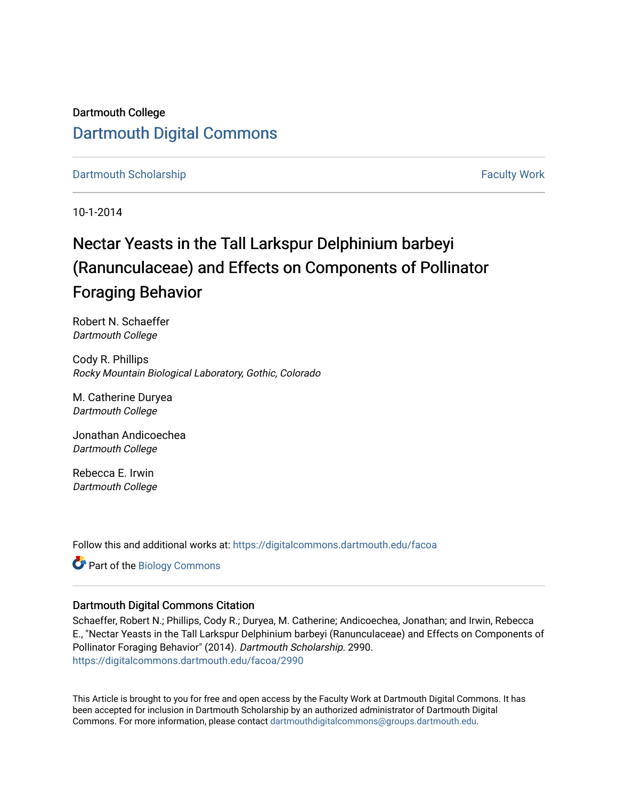Dartmouth College [Dartmouth Digital Commons](https://digitalcommons.dartmouth.edu/) 

[Dartmouth Scholarship](https://digitalcommons.dartmouth.edu/facoa) [Faculty Work](https://digitalcommons.dartmouth.edu/faculty) and The Basic Scholarship Faculty Work Faculty Work

10-1-2014

# Nectar Yeasts in the Tall Larkspur Delphinium barbeyi (Ranunculaceae) and Effects on Components of Pollinator Foraging Behavior

Robert N. Schaeffer Dartmouth College

Cody R. Phillips Rocky Mountain Biological Laboratory, Gothic, Colorado

M. Catherine Duryea Dartmouth College

Jonathan Andicoechea Dartmouth College

Rebecca E. Irwin Dartmouth College

Follow this and additional works at: [https://digitalcommons.dartmouth.edu/facoa](https://digitalcommons.dartmouth.edu/facoa?utm_source=digitalcommons.dartmouth.edu%2Ffacoa%2F2990&utm_medium=PDF&utm_campaign=PDFCoverPages)

Part of the [Biology Commons](http://network.bepress.com/hgg/discipline/41?utm_source=digitalcommons.dartmouth.edu%2Ffacoa%2F2990&utm_medium=PDF&utm_campaign=PDFCoverPages) 

# Dartmouth Digital Commons Citation

Schaeffer, Robert N.; Phillips, Cody R.; Duryea, M. Catherine; Andicoechea, Jonathan; and Irwin, Rebecca E., "Nectar Yeasts in the Tall Larkspur Delphinium barbeyi (Ranunculaceae) and Effects on Components of Pollinator Foraging Behavior" (2014). Dartmouth Scholarship. 2990. [https://digitalcommons.dartmouth.edu/facoa/2990](https://digitalcommons.dartmouth.edu/facoa/2990?utm_source=digitalcommons.dartmouth.edu%2Ffacoa%2F2990&utm_medium=PDF&utm_campaign=PDFCoverPages) 

This Article is brought to you for free and open access by the Faculty Work at Dartmouth Digital Commons. It has been accepted for inclusion in Dartmouth Scholarship by an authorized administrator of Dartmouth Digital Commons. For more information, please contact [dartmouthdigitalcommons@groups.dartmouth.edu](mailto:dartmouthdigitalcommons@groups.dartmouth.edu).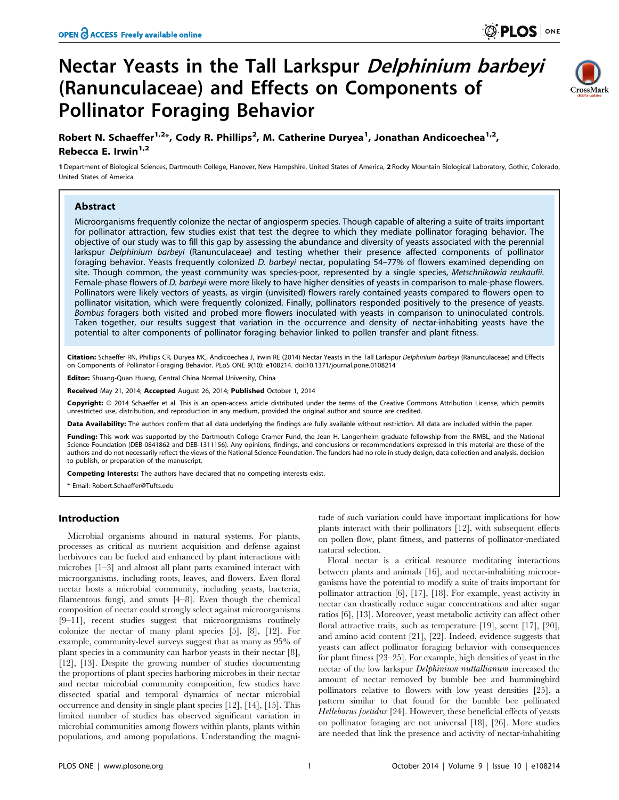# Nectar Yeasts in the Tall Larkspur Delphinium barbeyi (Ranunculaceae) and Effects on Components of Pollinator Foraging Behavior



Robert N. Schaeffer<sup>1,2\*</sup>, Cody R. Phillips<sup>2</sup>, M. Catherine Duryea<sup>1</sup>, Jonathan Andicoechea<sup>1,2</sup>, Rebecca E. Irwin $1/2$ 

1 Department of Biological Sciences, Dartmouth College, Hanover, New Hampshire, United States of America, 2 Rocky Mountain Biological Laboratory, Gothic, Colorado, United States of America

# Abstract

Microorganisms frequently colonize the nectar of angiosperm species. Though capable of altering a suite of traits important for pollinator attraction, few studies exist that test the degree to which they mediate pollinator foraging behavior. The objective of our study was to fill this gap by assessing the abundance and diversity of yeasts associated with the perennial larkspur Delphinium barbeyi (Ranunculaceae) and testing whether their presence affected components of pollinator foraging behavior. Yeasts frequently colonized D. barbeyi nectar, populating 54-77% of flowers examined depending on site. Though common, the yeast community was species-poor, represented by a single species, Metschnikowia reukaufii. Female-phase flowers of D. barbeyi were more likely to have higher densities of yeasts in comparison to male-phase flowers. Pollinators were likely vectors of yeasts, as virgin (unvisited) flowers rarely contained yeasts compared to flowers open to pollinator visitation, which were frequently colonized. Finally, pollinators responded positively to the presence of yeasts. Bombus foragers both visited and probed more flowers inoculated with yeasts in comparison to uninoculated controls. Taken together, our results suggest that variation in the occurrence and density of nectar-inhabiting yeasts have the potential to alter components of pollinator foraging behavior linked to pollen transfer and plant fitness.

Citation: Schaeffer RN, Phillips CR, Duryea MC, Andicoechea J, Irwin RE (2014) Nectar Yeasts in the Tall Larkspur Delphinium barbeyi (Ranunculaceae) and Effects on Components of Pollinator Foraging Behavior. PLoS ONE 9(10): e108214. doi:10.1371/journal.pone.0108214

Editor: Shuang-Quan Huang, Central China Normal University, China

Received May 21, 2014; Accepted August 26, 2014; Published October 1, 2014

Copyright: © 2014 Schaeffer et al. This is an open-access article distributed under the terms of the [Creative Commons Attribution License,](http://creativecommons.org/licenses/by/4.0/) which permits unrestricted use, distribution, and reproduction in any medium, provided the original author and source are credited.

Data Availability: The authors confirm that all data underlying the findings are fully available without restriction. All data are included within the paper.

Funding: This work was supported by the Dartmouth College Cramer Fund, the Jean H. Langenheim graduate fellowship from the RMBL, and the National Science Foundation (DEB-0841862 and DEB-1311156). Any opinions, findings, and conclusions or recommendations expressed in this material are those of the authors and do not necessarily reflect the views of the National Science Foundation. The funders had no role in study design, data collection and analysis, decision to publish, or preparation of the manuscript.

Competing Interests: The authors have declared that no competing interests exist.

\* Email: Robert.Schaeffer@Tufts.edu

# Introduction

Microbial organisms abound in natural systems. For plants, processes as critical as nutrient acquisition and defense against herbivores can be fueled and enhanced by plant interactions with microbes [1–3] and almost all plant parts examined interact with microorganisms, including roots, leaves, and flowers. Even floral nectar hosts a microbial community, including yeasts, bacteria, filamentous fungi, and smuts [4–8]. Even though the chemical composition of nectar could strongly select against microorganisms [9–11], recent studies suggest that microorganisms routinely colonize the nectar of many plant species [5], [8], [12]. For example, community-level surveys suggest that as many as 95% of plant species in a community can harbor yeasts in their nectar [8], [12], [13]. Despite the growing number of studies documenting the proportions of plant species harboring microbes in their nectar and nectar microbial community composition, few studies have dissected spatial and temporal dynamics of nectar microbial occurrence and density in single plant species [12], [14], [15]. This limited number of studies has observed significant variation in microbial communities among flowers within plants, plants within populations, and among populations. Understanding the magnitude of such variation could have important implications for how plants interact with their pollinators [12], with subsequent effects on pollen flow, plant fitness, and patterns of pollinator-mediated natural selection.

Floral nectar is a critical resource meditating interactions between plants and animals [16], and nectar-inhabiting microorganisms have the potential to modify a suite of traits important for pollinator attraction [6], [17], [18]. For example, yeast activity in nectar can drastically reduce sugar concentrations and alter sugar ratios [6], [13]. Moreover, yeast metabolic activity can affect other floral attractive traits, such as temperature [19], scent [17], [20], and amino acid content [21], [22]. Indeed, evidence suggests that yeasts can affect pollinator foraging behavior with consequences for plant fitness [23–25]. For example, high densities of yeast in the nectar of the low larkspur Delphinium nuttallianum increased the amount of nectar removed by bumble bee and hummingbird pollinators relative to flowers with low yeast densities [25], a pattern similar to that found for the bumble bee pollinated Helleborus foetidus [24]. However, these beneficial effects of yeasts on pollinator foraging are not universal [18], [26]. More studies are needed that link the presence and activity of nectar-inhabiting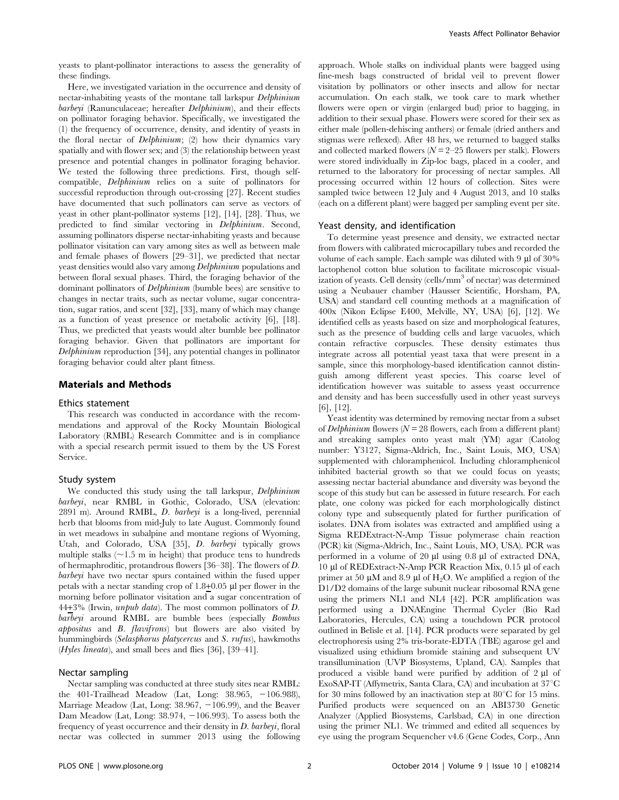yeasts to plant-pollinator interactions to assess the generality of these findings.

Here, we investigated variation in the occurrence and density of nectar-inhabiting yeasts of the montane tall larkspur Delphinium barbeyi (Ranunculaceae; hereafter *Delphinium*), and their effects on pollinator foraging behavior. Specifically, we investigated the (1) the frequency of occurrence, density, and identity of yeasts in the floral nectar of Delphinium; (2) how their dynamics vary spatially and with flower sex; and (3) the relationship between yeast presence and potential changes in pollinator foraging behavior. We tested the following three predictions. First, though selfcompatible, Delphinium relies on a suite of pollinators for successful reproduction through out-crossing [27]. Recent studies have documented that such pollinators can serve as vectors of yeast in other plant-pollinator systems [12], [14], [28]. Thus, we predicted to find similar vectoring in Delphinium. Second, assuming pollinators disperse nectar-inhabiting yeasts and because pollinator visitation can vary among sites as well as between male and female phases of flowers [29–31], we predicted that nectar yeast densities would also vary among Delphinium populations and between floral sexual phases. Third, the foraging behavior of the dominant pollinators of *Delphinium* (bumble bees) are sensitive to changes in nectar traits, such as nectar volume, sugar concentration, sugar ratios, and scent [32], [33], many of which may change as a function of yeast presence or metabolic activity [6], [18]. Thus, we predicted that yeasts would alter bumble bee pollinator foraging behavior. Given that pollinators are important for Delphinium reproduction [34], any potential changes in pollinator foraging behavior could alter plant fitness.

# Materials and Methods

### Ethics statement

This research was conducted in accordance with the recommendations and approval of the Rocky Mountain Biological Laboratory (RMBL) Research Committee and is in compliance with a special research permit issued to them by the US Forest Service.

# Study system

We conducted this study using the tall larkspur, Delphinium barbeyi, near RMBL in Gothic, Colorado, USA (elevation: 2891 m). Around RMBL, D. barbeyi is a long-lived, perennial herb that blooms from mid-July to late August. Commonly found in wet meadows in subalpine and montane regions of Wyoming, Utah, and Colorado, USA [35], D. barbeyi typically grows multiple stalks  $(\sim1.5 \text{ m}$  in height) that produce tens to hundreds of hermaphroditic, protandrous flowers [36–38]. The flowers of D. barbeyi have two nectar spurs contained within the fused upper petals with a nectar standing crop of 1.8+0.05 ml per flower in the morning before pollinator visitation and a sugar concentration of 44+3% (Irwin, unpub data). The most common pollinators of D. barbeyi around RMBL are bumble bees (especially Bombus appositus and B. flavifrons) but flowers are also visited by hummingbirds (Selasphorus platycercus and S. rufus), hawkmoths (Hyles lineata), and small bees and flies [36], [39–41].

# Nectar sampling

Nectar sampling was conducted at three study sites near RMBL: the 401-Trailhead Meadow (Lat, Long:  $38.965$ ,  $-106.988$ ), Marriage Meadow (Lat, Long:  $38.967$ ,  $-106.99$ ), and the Beaver Dam Meadow (Lat, Long:  $38.974$ ,  $-106.993$ ). To assess both the frequency of yeast occurrence and their density in D. barbeyi, floral nectar was collected in summer 2013 using the following approach. Whole stalks on individual plants were bagged using fine-mesh bags constructed of bridal veil to prevent flower visitation by pollinators or other insects and allow for nectar accumulation. On each stalk, we took care to mark whether flowers were open or virgin (enlarged bud) prior to bagging, in addition to their sexual phase. Flowers were scored for their sex as either male (pollen-dehiscing anthers) or female (dried anthers and stigmas were reflexed). After 48 hrs, we returned to bagged stalks and collected marked flowers ( $N = 2-25$  flowers per stalk). Flowers were stored individually in Zip-loc bags, placed in a cooler, and returned to the laboratory for processing of nectar samples. All processing occurred within 12 hours of collection. Sites were sampled twice between 12 July and 4 August 2013, and 10 stalks (each on a different plant) were bagged per sampling event per site.

#### Yeast density, and identification

To determine yeast presence and density, we extracted nectar from flowers with calibrated microcapillary tubes and recorded the volume of each sample. Each sample was diluted with 9  $\mu$ l of 30% lactophenol cotton blue solution to facilitate microscopic visualization of yeasts. Cell density (cells/mm<sup>3</sup> of nectar) was determined using a Neubauer chamber (Hausser Scientific, Horsham, PA, USA) and standard cell counting methods at a magnification of 400x (Nikon Eclipse E400, Melville, NY, USA) [6], [12]. We identified cells as yeasts based on size and morphological features, such as the presence of budding cells and large vacuoles, which contain refractive corpuscles. These density estimates thus integrate across all potential yeast taxa that were present in a sample, since this morphology-based identification cannot distinguish among different yeast species. This coarse level of identification however was suitable to assess yeast occurrence and density and has been successfully used in other yeast surveys [6], [12].

Yeast identity was determined by removing nectar from a subset of *Delphinium* flowers ( $N = 28$  flowers, each from a different plant) and streaking samples onto yeast malt (YM) agar (Catolog number: Y3127, Sigma-Aldrich, Inc., Saint Louis, MO, USA) supplemented with chloramphenicol. Including chloramphenicol inhibited bacterial growth so that we could focus on yeasts; assessing nectar bacterial abundance and diversity was beyond the scope of this study but can be assessed in future research. For each plate, one colony was picked for each morphologically distinct colony type and subsequently plated for further purification of isolates. DNA from isolates was extracted and amplified using a Sigma REDExtract-N-Amp Tissue polymerase chain reaction (PCR) kit (Sigma-Aldrich, Inc., Saint Louis, MO, USA). PCR was performed in a volume of  $20 \mu l$  using  $0.8 \mu l$  of extracted DNA, 10 ml of REDExtract-N-Amp PCR Reaction Mix, 0.15 ml of each primer at 50  $\mu$ M and 8.9  $\mu$ l of H<sub>2</sub>O. We amplified a region of the D1/D2 domains of the large subunit nuclear ribosomal RNA gene using the primers NL1 and NL4 [42]. PCR amplification was performed using a DNAEngine Thermal Cycler (Bio Rad Laboratories, Hercules, CA) using a touchdown PCR protocol outlined in Belisle et al. [14]. PCR products were separated by gel electrophoresis using 2% tris-borate-EDTA (TBE) agarose gel and visualized using ethidium bromide staining and subsequent UV transillumination (UVP Biosystems, Upland, CA). Samples that produced a visible band were purified by addition of  $2 \mu$ l of ExoSAP-IT (Affymetrix, Santa Clara, CA) and incubation at  $37^{\circ}$ C for 30 mins followed by an inactivation step at  $80^{\circ}$ C for 15 mins. Purified products were sequenced on an ABI3730 Genetic Analyzer (Applied Biosystems, Carlsbad, CA) in one direction using the primer NL1. We trimmed and edited all sequences by eye using the program Sequencher v4.6 (Gene Codes, Corp., Ann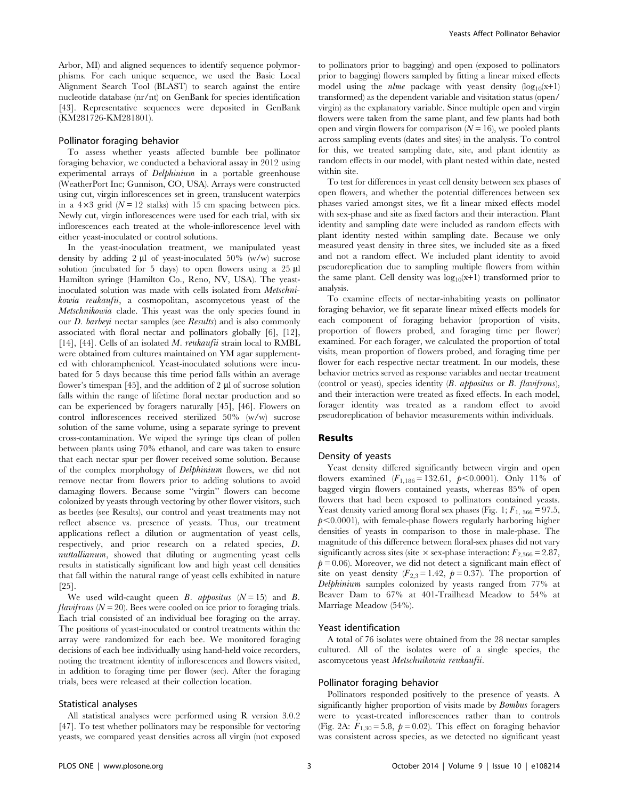Arbor, MI) and aligned sequences to identify sequence polymorphisms. For each unique sequence, we used the Basic Local Alignment Search Tool (BLAST) to search against the entire nucleotide database (nr/nt) on GenBank for species identification [43]. Representative sequences were deposited in GenBank (KM281726-KM281801).

#### Pollinator foraging behavior

To assess whether yeasts affected bumble bee pollinator foraging behavior, we conducted a behavioral assay in 2012 using experimental arrays of Delphinium in a portable greenhouse (WeatherPort Inc; Gunnison, CO, USA). Arrays were constructed using cut, virgin inflorescences set in green, translucent waterpics in a  $4\times3$  grid ( $N = 12$  stalks) with 15 cm spacing between pics. Newly cut, virgin inflorescences were used for each trial, with six inflorescences each treated at the whole-inflorescence level with either yeast-inoculated or control solutions.

In the yeast-inoculation treatment, we manipulated yeast density by adding 2  $\mu$ l of yeast-inoculated 50% (w/w) sucrose solution (incubated for  $5$  days) to open flowers using a  $25 \mu$ l Hamilton syringe (Hamilton Co., Reno, NV, USA). The yeastinoculated solution was made with cells isolated from Metschnikowia reukaufii, a cosmopolitan, ascomycetous yeast of the Metschnikowia clade. This yeast was the only species found in our D. barbeyi nectar samples (see Results) and is also commonly associated with floral nectar and pollinators globally [6], [12], [14], [44]. Cells of an isolated M. reukaufii strain local to RMBL were obtained from cultures maintained on YM agar supplemented with chloramphenicol. Yeast-inoculated solutions were incubated for 5 days because this time period falls within an average flower's timespan  $[45]$ , and the addition of 2  $\mu$ l of sucrose solution falls within the range of lifetime floral nectar production and so can be experienced by foragers naturally [45], [46]. Flowers on control inflorescences received sterilized 50% (w/w) sucrose solution of the same volume, using a separate syringe to prevent cross-contamination. We wiped the syringe tips clean of pollen between plants using 70% ethanol, and care was taken to ensure that each nectar spur per flower received some solution. Because of the complex morphology of Delphinium flowers, we did not remove nectar from flowers prior to adding solutions to avoid damaging flowers. Because some ''virgin'' flowers can become colonized by yeasts through vectoring by other flower visitors, such as beetles (see Results), our control and yeast treatments may not reflect absence vs. presence of yeasts. Thus, our treatment applications reflect a dilution or augmentation of yeast cells, respectively, and prior research on a related species, D. nuttallianum, showed that diluting or augmenting yeast cells results in statistically significant low and high yeast cell densities that fall within the natural range of yeast cells exhibited in nature [25].

We used wild-caught queen B. appositus  $(N = 15)$  and B. *flavifrons*  $(N = 20)$ . Bees were cooled on ice prior to foraging trials. Each trial consisted of an individual bee foraging on the array. The positions of yeast-inoculated or control treatments within the array were randomized for each bee. We monitored foraging decisions of each bee individually using hand-held voice recorders, noting the treatment identity of inflorescences and flowers visited, in addition to foraging time per flower (sec). After the foraging trials, bees were released at their collection location.

#### Statistical analyses

All statistical analyses were performed using R version 3.0.2 [47]. To test whether pollinators may be responsible for vectoring yeasts, we compared yeast densities across all virgin (not exposed to pollinators prior to bagging) and open (exposed to pollinators prior to bagging) flowers sampled by fitting a linear mixed effects model using the *nlme* package with yeast density  $(\log_{10}(x+1))$ transformed) as the dependent variable and visitation status (open/ virgin) as the explanatory variable. Since multiple open and virgin flowers were taken from the same plant, and few plants had both open and virgin flowers for comparison  $(N = 16)$ , we pooled plants across sampling events (dates and sites) in the analysis. To control for this, we treated sampling date, site, and plant identity as random effects in our model, with plant nested within date, nested within site.

To test for differences in yeast cell density between sex phases of open flowers, and whether the potential differences between sex phases varied amongst sites, we fit a linear mixed effects model with sex-phase and site as fixed factors and their interaction. Plant identity and sampling date were included as random effects with plant identity nested within sampling date. Because we only measured yeast density in three sites, we included site as a fixed and not a random effect. We included plant identity to avoid pseudoreplication due to sampling multiple flowers from within the same plant. Cell density was  $log_{10}(x+1)$  transformed prior to analysis.

To examine effects of nectar-inhabiting yeasts on pollinator foraging behavior, we fit separate linear mixed effects models for each component of foraging behavior (proportion of visits, proportion of flowers probed, and foraging time per flower) examined. For each forager, we calculated the proportion of total visits, mean proportion of flowers probed, and foraging time per flower for each respective nectar treatment. In our models, these behavior metrics served as response variables and nectar treatment (control or yeast), species identity  $(B.$  appositus or  $B.$  flavifrons), and their interaction were treated as fixed effects. In each model, forager identity was treated as a random effect to avoid pseudoreplication of behavior measurements within individuals.

#### Results

# Density of yeasts

Yeast density differed significantly between virgin and open flowers examined  $(F_{1,186} = 132.61, p < 0.0001)$ . Only 11% of bagged virgin flowers contained yeasts, whereas 85% of open flowers that had been exposed to pollinators contained yeasts. Yeast density varied among floral sex phases (Fig. 1;  $F_{1, 366} = 97.5$ ,  $p<0.0001$ , with female-phase flowers regularly harboring higher densities of yeasts in comparison to those in male-phase. The magnitude of this difference between floral-sex phases did not vary significantly across sites (site  $\times$  sex-phase interaction:  $F_{2,366} = 2.87$ ,  $p = 0.06$ ). Moreover, we did not detect a significant main effect of site on yeast density  $(F_{2,3}= 1.42, p = 0.37)$ . The proportion of Delphinium samples colonized by yeasts ranged from 77% at Beaver Dam to 67% at 401-Trailhead Meadow to 54% at Marriage Meadow (54%).

## Yeast identification

A total of 76 isolates were obtained from the 28 nectar samples cultured. All of the isolates were of a single species, the ascomycetous yeast Metschnikowia reukaufii.

## Pollinator foraging behavior

Pollinators responded positively to the presence of yeasts. A significantly higher proportion of visits made by Bombus foragers were to yeast-treated inflorescences rather than to controls (Fig. 2A:  $F_{1,30} = 5.8$ ,  $p = 0.02$ ). This effect on foraging behavior was consistent across species, as we detected no significant yeast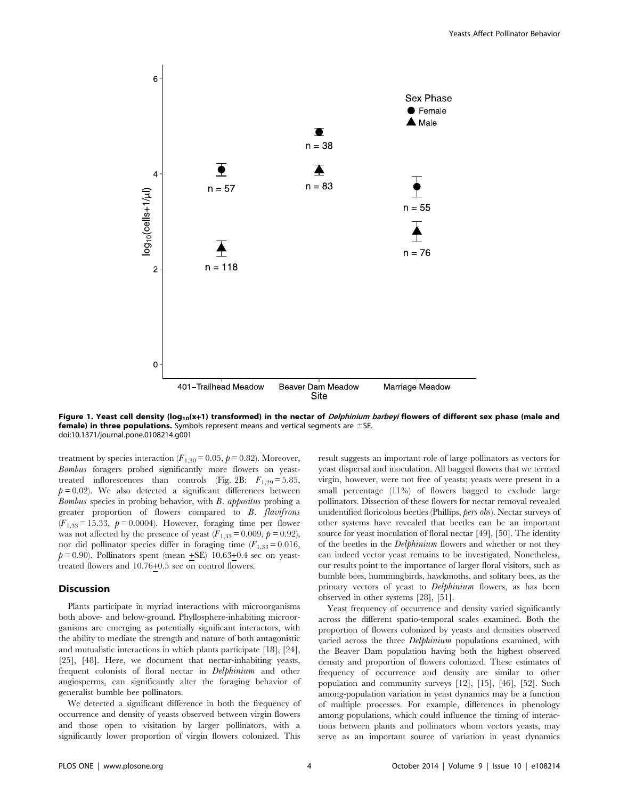

Figure 1. Yeast cell density (log<sub>10</sub>(x+1) transformed) in the nectar of *Delphinium barbeyi* flowers of different sex phase (male and **female) in three populations.** Symbols represent means and vertical segments are  $\pm$  SE. doi:10.1371/journal.pone.0108214.g001

treatment by species interaction ( $F_{1,30} = 0.05$ ,  $p = 0.82$ ). Moreover, Bombus foragers probed significantly more flowers on yeasttreated inflorescences than controls (Fig. 2B:  $F_{1,29} = 5.85$ ,  $p = 0.02$ ). We also detected a significant differences between Bombus species in probing behavior, with B. appositus probing a greater proportion of flowers compared to B. flavifrons  $(F_{1,33}= 15.33, p = 0.0004)$ . However, foraging time per flower was not affected by the presence of yeast  $(F_{1,33}= 0.009, p = 0.92)$ , nor did pollinator species differ in foraging time  $(F_{1,33}=0.016,$  $p = 0.90$ . Pollinators spent (mean  $\pm$ SE) 10.63 $\pm$ 0.4 sec on yeasttreated flowers and 10.76+0.5 sec on control flowers.

# **Discussion**

Plants participate in myriad interactions with microorganisms both above- and below-ground. Phyllosphere-inhabiting microorganisms are emerging as potentially significant interactors, with the ability to mediate the strength and nature of both antagonistic and mutualistic interactions in which plants participate [18], [24], [25], [48]. Here, we document that nectar-inhabiting yeasts, frequent colonists of floral nectar in Delphinium and other angiosperms, can significantly alter the foraging behavior of generalist bumble bee pollinators.

We detected a significant difference in both the frequency of occurrence and density of yeasts observed between virgin flowers and those open to visitation by larger pollinators, with a significantly lower proportion of virgin flowers colonized. This result suggests an important role of large pollinators as vectors for yeast dispersal and inoculation. All bagged flowers that we termed virgin, however, were not free of yeasts; yeasts were present in a small percentage (11%) of flowers bagged to exclude large pollinators. Dissection of these flowers for nectar removal revealed unidentified floricolous beetles (Phillips, pers obs). Nectar surveys of other systems have revealed that beetles can be an important source for yeast inoculation of floral nectar [49], [50]. The identity of the beetles in the *Delphinium* flowers and whether or not they can indeed vector yeast remains to be investigated. Nonetheless, our results point to the importance of larger floral visitors, such as bumble bees, hummingbirds, hawkmoths, and solitary bees, as the primary vectors of yeast to *Delphinium* flowers, as has been observed in other systems [28], [51].

Yeast frequency of occurrence and density varied significantly across the different spatio-temporal scales examined. Both the proportion of flowers colonized by yeasts and densities observed varied across the three *Delphinium* populations examined, with the Beaver Dam population having both the highest observed density and proportion of flowers colonized. These estimates of frequency of occurrence and density are similar to other population and community surveys [12], [15], [46], [52]. Such among-population variation in yeast dynamics may be a function of multiple processes. For example, differences in phenology among populations, which could influence the timing of interactions between plants and pollinators whom vectors yeasts, may serve as an important source of variation in yeast dynamics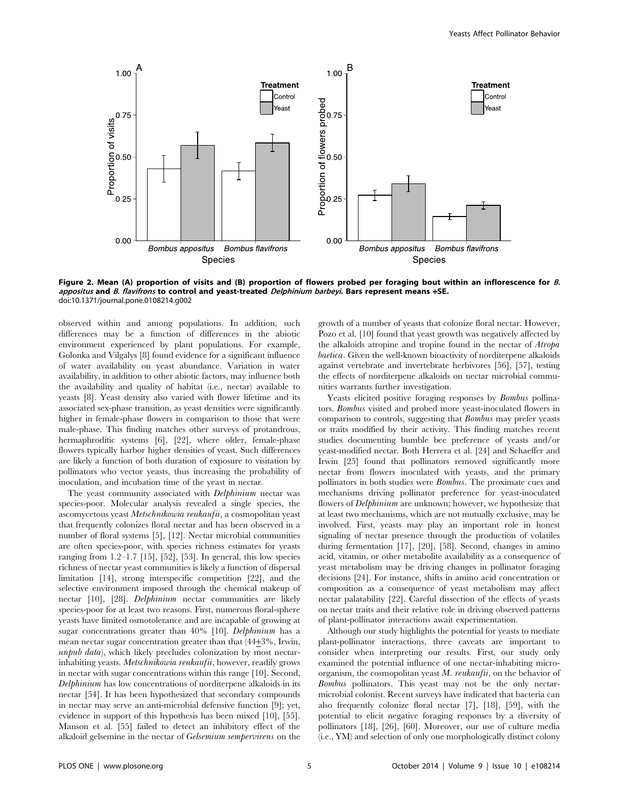

Figure 2. Mean (A) proportion of visits and (B) proportion of flowers probed per foraging bout within an inflorescence for  $B$ . appositus and B. flavifrons to control and yeast-treated Delphinium barbeyi. Bars represent means +SE. doi:10.1371/journal.pone.0108214.g002

observed within and among populations. In addition, such differences may be a function of differences in the abiotic environment experienced by plant populations. For example, Golonka and Vilgalys [8] found evidence for a significant influence of water availability on yeast abundance. Variation in water availability, in addition to other abiotic factors, may influence both the availability and quality of habitat (i.e., nectar) available to yeasts [8]. Yeast density also varied with flower lifetime and its associated sex-phase transition, as yeast densities were significantly higher in female-phase flowers in comparison to those that were male-phase. This finding matches other surveys of protandrous, hermaphroditic systems [6], [22], where older, female-phase flowers typically harbor higher densities of yeast. Such differences are likely a function of both duration of exposure to visitation by pollinators who vector yeasts, thus increasing the probability of inoculation, and incubation time of the yeast in nectar.

The yeast community associated with *Delphinium* nectar was species-poor. Molecular analysis revealed a single species, the ascomycetous yeast Metschnikowia reukaufii, a cosmopolitan yeast that frequently colonizes floral nectar and has been observed in a number of floral systems [5], [12]. Nectar microbial communities are often species-poor, with species richness estimates for yeasts ranging from  $1.2-1.7$  [15], [52], [53]. In general, this low species richness of nectar yeast communities is likely a function of dispersal limitation [14], strong interspecific competition [22], and the selective environment imposed through the chemical makeup of nectar [10], [28]. *Delphinium* nectar communities are likely species-poor for at least two reasons. First, numerous floral-sphere yeasts have limited osmotolerance and are incapable of growing at sugar concentrations greater than 40% [10]. Delphinium has a mean nectar sugar concentration greater than that (44+3%, Irwin, unpub data), which likely precludes colonization by most nectarinhabiting yeasts. Metschnikowia reukaufii, however, readily grows in nectar with sugar concentrations within this range [10]. Second, Delphinium has low concentrations of norditerpene alkaloids in its nectar [54]. It has been hypothesized that secondary compounds in nectar may serve an anti-microbial defensive function [9]; yet, evidence in support of this hypothesis has been mixed [10], [55]. Manson et al. [55] failed to detect an inhibitory effect of the alkaloid gelsemine in the nectar of Gelsemium sempervirens on the

growth of a number of yeasts that colonize floral nectar. However, Pozo et al. [10] found that yeast growth was negatively affected by the alkaloids atropine and tropine found in the nectar of Atropa baetica. Given the well-known bioactivity of norditerpene alkaloids against vertebrate and invertebrate herbivores [56], [57], testing the effects of norditerpene alkaloids on nectar microbial communities warrants further investigation.

Yeasts elicited positive foraging responses by *Bombus* pollinators. Bombus visited and probed more yeast-inoculated flowers in comparison to controls, suggesting that Bombus may prefer yeasts or traits modified by their activity. This finding matches recent studies documenting bumble bee preference of yeasts and/or yeast-modified nectar. Both Herrera et al. [24] and Schaeffer and Irwin [25] found that pollinators removed significantly more nectar from flowers inoculated with yeasts, and the primary pollinators in both studies were Bombus. The proximate cues and mechanisms driving pollinator preference for yeast-inoculated flowers of *Delphinium* are unknown; however, we hypothesize that at least two mechanisms, which are not mutually exclusive, may be involved. First, yeasts may play an important role in honest signaling of nectar presence through the production of volatiles during fermentation [17], [20], [58]. Second, changes in amino acid, vitamin, or other metabolite availability as a consequence of yeast metabolism may be driving changes in pollinator foraging decisions [24]. For instance, shifts in amino acid concentration or composition as a consequence of yeast metabolism may affect nectar palatability [22]. Careful dissection of the effects of yeasts on nectar traits and their relative role in driving observed patterns of plant-pollinator interactions await experimentation.

Although our study highlights the potential for yeasts to mediate plant-pollinator interactions, three caveats are important to consider when interpreting our results. First, our study only examined the potential influence of one nectar-inhabiting microorganism, the cosmopolitan yeast M. reukaufii, on the behavior of Bombus pollinators. This yeast may not be the only nectarmicrobial colonist. Recent surveys have indicated that bacteria can also frequently colonize floral nectar [7], [18], [59], with the potential to elicit negative foraging responses by a diversity of pollinators [18], [26], [60]. Moreover, our use of culture media (i.e., YM) and selection of only one morphologically distinct colony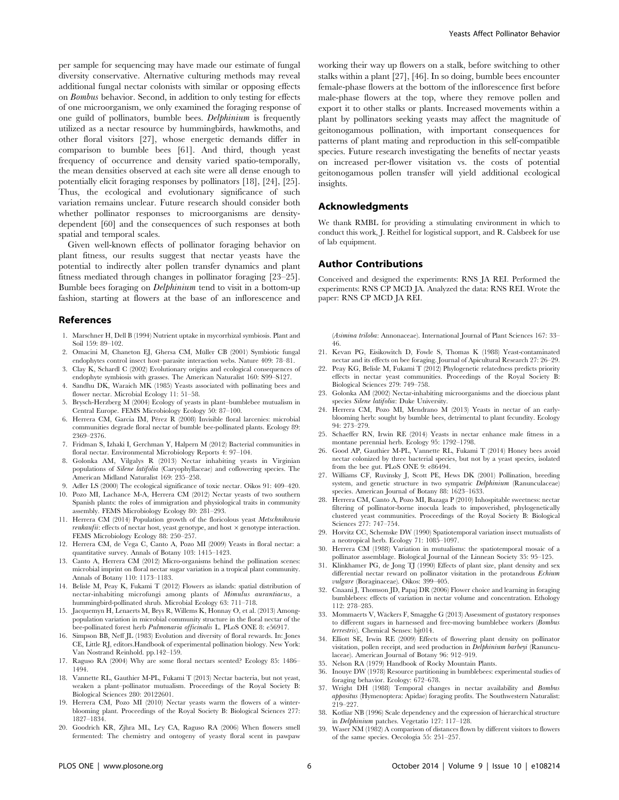per sample for sequencing may have made our estimate of fungal diversity conservative. Alternative culturing methods may reveal additional fungal nectar colonists with similar or opposing effects on Bombus behavior. Second, in addition to only testing for effects of one microorganism, we only examined the foraging response of one guild of pollinators, bumble bees. Delphinium is frequently utilized as a nectar resource by hummingbirds, hawkmoths, and other floral visitors [27], whose energetic demands differ in comparison to bumble bees [61]. And third, though yeast frequency of occurrence and density varied spatio-temporally, the mean densities observed at each site were all dense enough to potentially elicit foraging responses by pollinators [18], [24], [25]. Thus, the ecological and evolutionary significance of such variation remains unclear. Future research should consider both whether pollinator responses to microorganisms are densitydependent [60] and the consequences of such responses at both spatial and temporal scales.

Given well-known effects of pollinator foraging behavior on plant fitness, our results suggest that nectar yeasts have the potential to indirectly alter pollen transfer dynamics and plant fitness mediated through changes in pollinator foraging [23–25]. Bumble bees foraging on Delphinium tend to visit in a bottom-up fashion, starting at flowers at the base of an inflorescence and

#### References

- 1. Marschner H, Dell B (1994) Nutrient uptake in mycorrhizal symbiosis. Plant and Soil 159: 89–102.
- 2. Omacini M, Chaneton EJ, Ghersa CM, Müller CB (2001) Symbiotic fungal endophytes control insect host–parasite interaction webs. Nature 409: 78–81.
- 3. Clay K, Schardl C (2002) Evolutionary origins and ecological consequences of endophyte symbiosis with grasses. The American Naturalist 160: S99–S127.
- 4. Sandhu DK, Waraich MK (1985) Yeasts associated with pollinating bees and flower nectar. Microbial Ecology 11: 51–58.
- 5. Brysch-Herzberg M (2004) Ecology of yeasts in plant–bumblebee mutualism in Central Europe. FEMS Microbiology Ecology 50: 87–100.
- 6. Herrera CM, García IM, Pérez R (2008) Invisible floral larcenies: microbial communities degrade floral nectar of bumble bee-pollinated plants. Ecology 89: 2369–2376.
- 7. Fridman S, Izhaki I, Gerchman Y, Halpern M (2012) Bacterial communities in floral nectar. Environmental Microbiology Reports 4: 97–104.
- 8. Golonka AM, Vilgalys R (2013) Nectar inhabiting yeasts in Virginian populations of Silene latifolia (Caryophyllaceae) and coflowering species. The American Midland Naturalist 169: 235–258.
- 9. Adler LS (2000) The ecological significance of toxic nectar. Oikos 91: 409–420.
- 10. Pozo MI, Lachance M-A, Herrera CM (2012) Nectar yeasts of two southern Spanish plants: the roles of immigration and physiological traits in community assembly. FEMS Microbiology Ecology 80: 281–293.
- 11. Herrera CM (2014) Population growth of the floricolous yeast Metschnikowia  $reukaufii$ : effects of nectar host, yeast genotype, and host  $\times$  genotype interaction. FEMS Microbiology Ecology 88: 250–257.
- 12. Herrera CM, de Vega C, Canto A, Pozo MI (2009) Yeasts in floral nectar: a quantitative survey. Annals of Botany 103: 1415–1423.
- 13. Canto A, Herrera CM (2012) Micro-organisms behind the pollination scenes: microbial imprint on floral nectar sugar variation in a tropical plant community. Annals of Botany 110: 1173–1183.
- 14. Belisle M, Peay K, Fukami T (2012) Flowers as islands: spatial distribution of nectar-inhabiting microfungi among plants of Mimulus aurantiacus, a hummingbird-pollinated shrub. Microbial Ecology 63: 711–718.
- 15. Jacquemyn H, Lenaerts M, Brys R, Willems K, Honnay O, et al. (2013) Amongpopulation variation in microbial community structure in the floral nectar of the bee-pollinated forest herb Pulmonaria officinalis L. PLoS ONE 8: e56917.
- 16. Simpson BB, Neff JL (1983) Evolution and diversity of floral rewards. In: Jones CE, Little RJ, editors.Handbook of experimental pollination biology. New York: Van Nostrand Reinhold. pp.142–159.
- 17. Raguso RA (2004) Why are some floral nectars scented? Ecology 85: 1486– 1494.
- 18. Vannette RL, Gauthier M-PL, Fukami T (2013) Nectar bacteria, but not yeast, weaken a plant–pollinator mutualism. Proceedings of the Royal Society B: Biological Sciences 280: 20122601.
- 19. Herrera CM, Pozo MI (2010) Nectar yeasts warm the flowers of a winterblooming plant. Proceedings of the Royal Society B: Biological Sciences 277: 1827–1834.
- 20. Goodrich KR, Zjhra ML, Ley CA, Raguso RA (2006) When flowers smell fermented: The chemistry and ontogeny of yeasty floral scent in pawpaw

working their way up flowers on a stalk, before switching to other stalks within a plant [27], [46]. In so doing, bumble bees encounter female-phase flowers at the bottom of the inflorescence first before male-phase flowers at the top, where they remove pollen and export it to other stalks or plants. Increased movements within a plant by pollinators seeking yeasts may affect the magnitude of geitonogamous pollination, with important consequences for patterns of plant mating and reproduction in this self-compatible species. Future research investigating the benefits of nectar yeasts on increased per-flower visitation vs. the costs of potential geitonogamous pollen transfer will yield additional ecological insights.

### Acknowledgments

We thank RMBL for providing a stimulating environment in which to conduct this work, J. Reithel for logistical support, and R. Calsbeek for use of lab equipment.

# Author Contributions

Conceived and designed the experiments: RNS JA REI. Performed the experiments: RNS CP MCD JA. Analyzed the data: RNS REI. Wrote the paper: RNS CP MCD JA REI.

(Asimina triloba: Annonaceae). International Journal of Plant Sciences 167: 33– 46.

- 21. Kevan PG, Eisikowitch D, Fowle S, Thomas K (1988) Yeast-contaminated nectar and its effects on bee foraging. Journal of Apicultural Research 27: 26–29.
- 22. Peay KG, Belisle M, Fukami T (2012) Phylogenetic relatedness predicts priority effects in nectar yeast communities. Proceedings of the Royal Society B: Biological Sciences 279: 749–758.
- 23. Golonka AM (2002) Nectar-inhabiting microorganisms and the dioecious plant species Silene latifolia: Duke University.
- 24. Herrera CM, Pozo MI, Mendrano M (2013) Yeasts in nectar of an earlyblooming herb: sought by bumble bees, detrimental to plant fecundity. Ecology  $94.973 - 979$
- 25. Schaeffer RN, Irwin RE (2014) Yeasts in nectar enhance male fitness in a montane perennial herb. Ecology 95: 1792–1798.
- 26. Good AP, Gauthier M-PL, Vannette RL, Fukami T (2014) Honey bees avoid nectar colonized by three bacterial species, but not by a yeast species, isolated from the bee gut. PLoS ONE 9: e86494.
- 27. Williams CF, Ruvinsky J, Scott PE, Hews DK (2001) Pollination, breeding system, and genetic structure in two sympatric Delphinium (Ranunculaceae) species. American Journal of Botany 88: 1623–1633.
- 28. Herrera CM, Canto A, Pozo MI, Bazaga P (2010) Inhospitable sweetness: nectar filtering of pollinator-borne inocula leads to impoverished, phylogenetically clustered yeast communities. Proceedings of the Royal Society B: Biological Sciences 277: 747–754.
- 29. Horvitz CC, Schemske DW (1990) Spatiotemporal variation insect mutualists of a neotropical herb. Ecology 71: 1085–1097.
- 30. Herrera CM (1988) Variation in mutualisms: the spatiotemporal mosaic of a pollinator assemblage. Biological Journal of the Linnean Society 35: 95–125.
- 31. Klinkhamer PG, de Jong TJ (1990) Effects of plant size, plant density and sex differential nectar reward on pollinator visitation in the protandrous Echium vulgare (Boraginaceae). Oikos: 399–405.
- 32. Cnaani J, Thomson JD, Papaj DR (2006) Flower choice and learning in foraging bumblebees: effects of variation in nectar volume and concentration. Ethology 112: 278–285.
- 33. Mommaerts V, Wäckers F, Smagghe G (2013) Assessment of gustatory responses to different sugars in harnessed and free-moving bumblebee workers (Bombus terrestris). Chemical Senses: bjt014.
- 34. Elliott SE, Irwin RE (2009) Effects of flowering plant density on pollinator visitation, pollen receipt, and seed production in Delphinium barbeyi (Ranunculaceae). American Journal of Botany 96: 912–919.
- 35. Nelson RA (1979) Handbook of Rocky Mountain Plants.
- 36. Inouye DW (1978) Resource partitioning in bumblebees: experimental studies of foraging behavior. Ecology: 672–678.
- 37. Wright DH (1988) Temporal changes in nectar availability and Bombus appositus (Hymenoptera: Apidae) foraging profits. The Southwestern Naturalist: 219–227.
- 38. Kotliar NB (1996) Scale dependency and the expression of hierarchical structure in Delphinium patches. Vegetatio 127: 117–128.
- 39. Waser NM (1982) A comparison of distances flown by different visitors to flowers of the same species. Oecologia 55: 251–257.